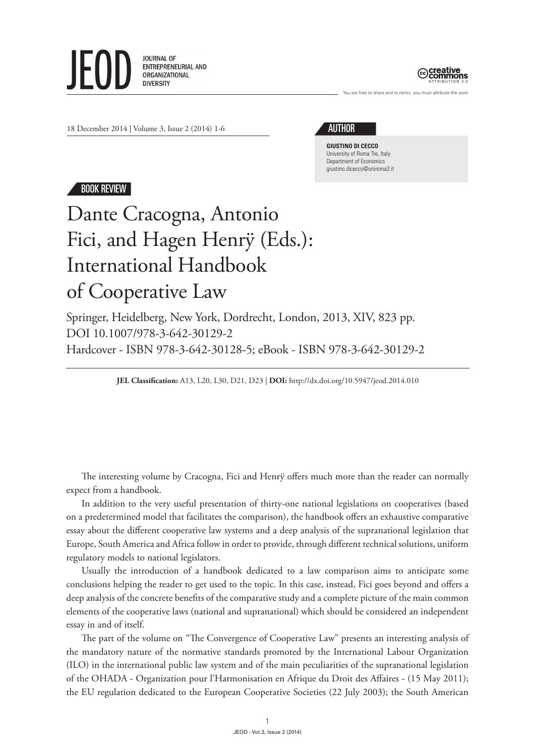**JOURNAL OF** ENTREPRENEURIAL AND ORGANIZATIONAL **DIVERSITY** 



are free to share and to remix, you must attribute the work

18 December 2014 | Volume 3, Issue 2 (2014) 1-6

## author

**Giustino Di Cecco** University of Roma Tre, Italy Department of Economics giustino.dicecco@uniroma3.it

## Book Review

## Dante Cracogna, Antonio Fici, and Hagen Henrÿ (Eds.): International Handbook of Cooperative Law

Springer, Heidelberg, New York, Dordrecht, London, 2013, XIV, 823 pp. DOI 10.1007/978-3-642-30129-2 Hardcover - ISBN 978-3-642-30128-5; eBook - ISBN 978-3-642-30129-2

**JEL Classification:** A13, L20, L30, D21, D23 | **DOI:** http://dx.doi.org/10.5947/jeod.2014.010

The interesting volume by Cracogna, Fici and Henrÿ offers much more than the reader can normally expect from a handbook.

In addition to the very useful presentation of thirty-one national legislations on cooperatives (based on a predetermined model that facilitates the comparison), the handbook offers an exhaustive comparative essay about the different cooperative law systems and a deep analysis of the supranational legislation that Europe, South America and Africa follow in order to provide, through different technical solutions, uniform regulatory models to national legislators.

Usually the introduction of a handbook dedicated to a law comparison aims to anticipate some conclusions helping the reader to get used to the topic. In this case, instead, Fici goes beyond and offers a deep analysis of the concrete benefits of the comparative study and a complete picture of the main common elements of the cooperative laws (national and supranational) which should be considered an independent essay in and of itself.

The part of the volume on "The Convergence of Cooperative Law" presents an interesting analysis of the mandatory nature of the normative standards promoted by the International Labour Organization (ILO) in the international public law system and of the main peculiarities of the supranational legislation of the OHADA - Organization pour l'Harmonisation en Afrique du Droit des Affaires - (15 May 2011); the EU regulation dedicated to the European Cooperative Societies (22 July 2003); the South American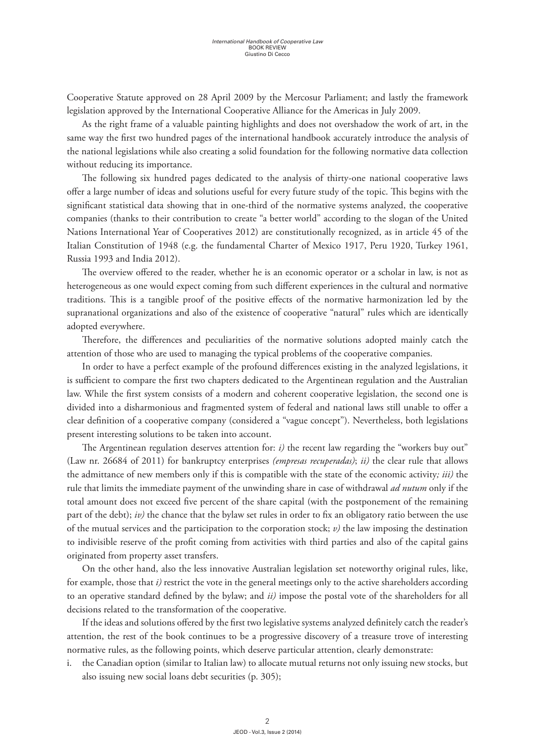Cooperative Statute approved on 28 April 2009 by the Mercosur Parliament; and lastly the framework legislation approved by the International Cooperative Alliance for the Americas in July 2009.

As the right frame of a valuable painting highlights and does not overshadow the work of art, in the same way the first two hundred pages of the international handbook accurately introduce the analysis of the national legislations while also creating a solid foundation for the following normative data collection without reducing its importance.

The following six hundred pages dedicated to the analysis of thirty-one national cooperative laws offer a large number of ideas and solutions useful for every future study of the topic. This begins with the significant statistical data showing that in one-third of the normative systems analyzed, the cooperative companies (thanks to their contribution to create "a better world" according to the slogan of the United Nations International Year of Cooperatives 2012) are constitutionally recognized, as in article 45 of the Italian Constitution of 1948 (e.g. the fundamental Charter of Mexico 1917, Peru 1920, Turkey 1961, Russia 1993 and India 2012).

The overview offered to the reader, whether he is an economic operator or a scholar in law, is not as heterogeneous as one would expect coming from such different experiences in the cultural and normative traditions. This is a tangible proof of the positive effects of the normative harmonization led by the supranational organizations and also of the existence of cooperative "natural" rules which are identically adopted everywhere.

Therefore, the differences and peculiarities of the normative solutions adopted mainly catch the attention of those who are used to managing the typical problems of the cooperative companies.

In order to have a perfect example of the profound differences existing in the analyzed legislations, it is sufficient to compare the first two chapters dedicated to the Argentinean regulation and the Australian law. While the first system consists of a modern and coherent cooperative legislation, the second one is divided into a disharmonious and fragmented system of federal and national laws still unable to offer a clear definition of a cooperative company (considered a "vague concept"). Nevertheless, both legislations present interesting solutions to be taken into account.

The Argentinean regulation deserves attention for: *i)* the recent law regarding the "workers buy out" (Law nr. 26684 of 2011) for bankruptcy enterprises *(empresas recuperadas)*; *ii)* the clear rule that allows the admittance of new members only if this is compatible with the state of the economic activity*; iii)* the rule that limits the immediate payment of the unwinding share in case of withdrawal *ad nutum* only if the total amount does not exceed five percent of the share capital (with the postponement of the remaining part of the debt); *iv)* the chance that the bylaw set rules in order to fix an obligatory ratio between the use of the mutual services and the participation to the corporation stock; *v)* the law imposing the destination to indivisible reserve of the profit coming from activities with third parties and also of the capital gains originated from property asset transfers.

On the other hand, also the less innovative Australian legislation set noteworthy original rules, like, for example, those that *i)* restrict the vote in the general meetings only to the active shareholders according to an operative standard defined by the bylaw; and *ii)* impose the postal vote of the shareholders for all decisions related to the transformation of the cooperative.

If the ideas and solutions offered by the first two legislative systems analyzed definitely catch the reader's attention, the rest of the book continues to be a progressive discovery of a treasure trove of interesting normative rules, as the following points, which deserve particular attention, clearly demonstrate:

i. the Canadian option (similar to Italian law) to allocate mutual returns not only issuing new stocks, but also issuing new social loans debt securities (p. 305);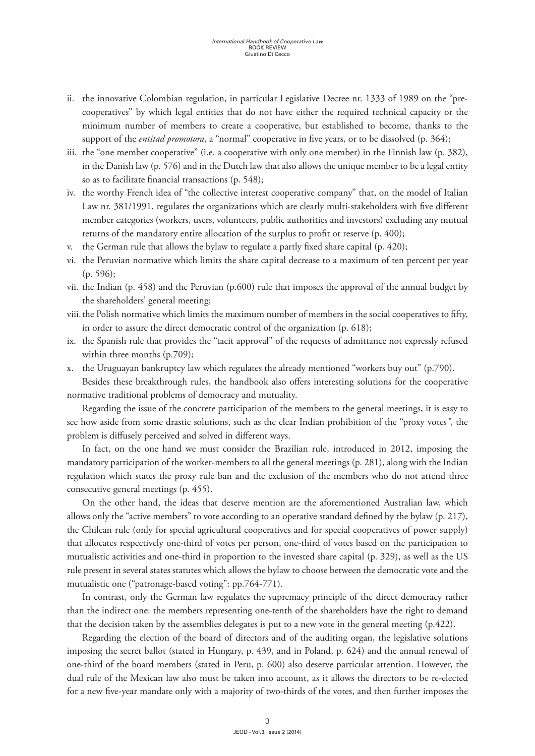- ii. the innovative Colombian regulation, in particular Legislative Decree nr. 1333 of 1989 on the "precooperatives" by which legal entities that do not have either the required technical capacity or the minimum number of members to create a cooperative, but established to become, thanks to the support of the *entitad promotora*, a "normal" cooperative in five years, or to be dissolved (p. 364);
- iii. the "one member cooperative" (i.e. a cooperative with only one member) in the Finnish law (p. 382), in the Danish law (p. 576) and in the Dutch law that also allows the unique member to be a legal entity so as to facilitate financial transactions (p. 548);
- iv. the worthy French idea of "the collective interest cooperative company" that, on the model of Italian Law nr. 381/1991, regulates the organizations which are clearly multi-stakeholders with five different member categories (workers, users, volunteers, public authorities and investors) excluding any mutual returns of the mandatory entire allocation of the surplus to profit or reserve (p. 400);
- v. the German rule that allows the bylaw to regulate a partly fixed share capital (p. 420);
- vi. the Peruvian normative which limits the share capital decrease to a maximum of ten percent per year (p. 596);
- vii. the Indian (p. 458) and the Peruvian (p.600) rule that imposes the approval of the annual budget by the shareholders' general meeting;
- viii.the Polish normative which limits the maximum number of members in the social cooperatives to fifty, in order to assure the direct democratic control of the organization (p. 618);
- ix. the Spanish rule that provides the "tacit approval" of the requests of admittance not expressly refused within three months (p.709);
- x. the Uruguayan bankruptcy law which regulates the already mentioned "workers buy out" (p.790).

Besides these breakthrough rules, the handbook also offers interesting solutions for the cooperative normative traditional problems of democracy and mutuality.

Regarding the issue of the concrete participation of the members to the general meetings, it is easy to see how aside from some drastic solutions, such as the clear Indian prohibition of the "proxy votes*"*, the problem is diffusely perceived and solved in different ways.

In fact, on the one hand we must consider the Brazilian rule, introduced in 2012, imposing the mandatory participation of the worker-members to all the general meetings (p. 281), along with the Indian regulation which states the proxy rule ban and the exclusion of the members who do not attend three consecutive general meetings (p. 455).

On the other hand, the ideas that deserve mention are the aforementioned Australian law, which allows only the "active members" to vote according to an operative standard defined by the bylaw (p. 217), the Chilean rule (only for special agricultural cooperatives and for special cooperatives of power supply) that allocates respectively one-third of votes per person, one-third of votes based on the participation to mutualistic activities and one-third in proportion to the invested share capital (p. 329), as well as the US rule present in several states statutes which allows the bylaw to choose between the democratic vote and the mutualistic one ("patronage-based voting": pp.764-771).

In contrast, only the German law regulates the supremacy principle of the direct democracy rather than the indirect one: the members representing one-tenth of the shareholders have the right to demand that the decision taken by the assemblies delegates is put to a new vote in the general meeting (p.422).

Regarding the election of the board of directors and of the auditing organ, the legislative solutions imposing the secret ballot (stated in Hungary, p. 439, and in Poland, p. 624) and the annual renewal of one-third of the board members (stated in Peru, p. 600) also deserve particular attention. However, the dual rule of the Mexican law also must be taken into account, as it allows the directors to be re-elected for a new five-year mandate only with a majority of two-thirds of the votes, and then further imposes the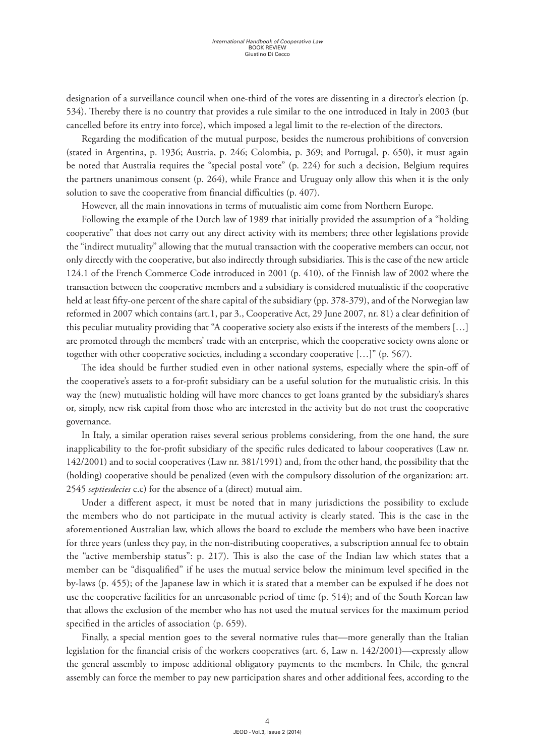designation of a surveillance council when one-third of the votes are dissenting in a director's election (p. 534). Thereby there is no country that provides a rule similar to the one introduced in Italy in 2003 (but cancelled before its entry into force), which imposed a legal limit to the re-election of the directors.

Regarding the modification of the mutual purpose, besides the numerous prohibitions of conversion (stated in Argentina, p. 1936; Austria, p. 246; Colombia, p. 369; and Portugal, p. 650), it must again be noted that Australia requires the "special postal vote" (p. 224) for such a decision, Belgium requires the partners unanimous consent (p. 264), while France and Uruguay only allow this when it is the only solution to save the cooperative from financial difficulties (p. 407).

However, all the main innovations in terms of mutualistic aim come from Northern Europe.

Following the example of the Dutch law of 1989 that initially provided the assumption of a "holding cooperative" that does not carry out any direct activity with its members; three other legislations provide the "indirect mutuality" allowing that the mutual transaction with the cooperative members can occur, not only directly with the cooperative, but also indirectly through subsidiaries. This is the case of the new article 124.1 of the French Commerce Code introduced in 2001 (p. 410), of the Finnish law of 2002 where the transaction between the cooperative members and a subsidiary is considered mutualistic if the cooperative held at least fifty-one percent of the share capital of the subsidiary (pp. 378-379), and of the Norwegian law reformed in 2007 which contains (art.1, par 3., Cooperative Act, 29 June 2007, nr. 81) a clear definition of this peculiar mutuality providing that "A cooperative society also exists if the interests of the members […] are promoted through the members' trade with an enterprise, which the cooperative society owns alone or together with other cooperative societies, including a secondary cooperative […]" (p. 567).

The idea should be further studied even in other national systems, especially where the spin-off of the cooperative's assets to a for-profit subsidiary can be a useful solution for the mutualistic crisis. In this way the (new) mutualistic holding will have more chances to get loans granted by the subsidiary's shares or, simply, new risk capital from those who are interested in the activity but do not trust the cooperative governance.

In Italy, a similar operation raises several serious problems considering, from the one hand, the sure inapplicability to the for-profit subsidiary of the specific rules dedicated to labour cooperatives (Law nr. 142/2001) and to social cooperatives (Law nr. 381/1991) and, from the other hand, the possibility that the (holding) cooperative should be penalized (even with the compulsory dissolution of the organization: art. 2545 *septiesdecies* c.c) for the absence of a (direct) mutual aim.

Under a different aspect, it must be noted that in many jurisdictions the possibility to exclude the members who do not participate in the mutual activity is clearly stated. This is the case in the aforementioned Australian law, which allows the board to exclude the members who have been inactive for three years (unless they pay, in the non-distributing cooperatives, a subscription annual fee to obtain the "active membership status": p. 217). This is also the case of the Indian law which states that a member can be "disqualified" if he uses the mutual service below the minimum level specified in the by-laws (p. 455); of the Japanese law in which it is stated that a member can be expulsed if he does not use the cooperative facilities for an unreasonable period of time (p. 514); and of the South Korean law that allows the exclusion of the member who has not used the mutual services for the maximum period specified in the articles of association (p. 659).

Finally, a special mention goes to the several normative rules that—more generally than the Italian legislation for the financial crisis of the workers cooperatives (art. 6, Law n. 142/2001)—expressly allow the general assembly to impose additional obligatory payments to the members. In Chile, the general assembly can force the member to pay new participation shares and other additional fees, according to the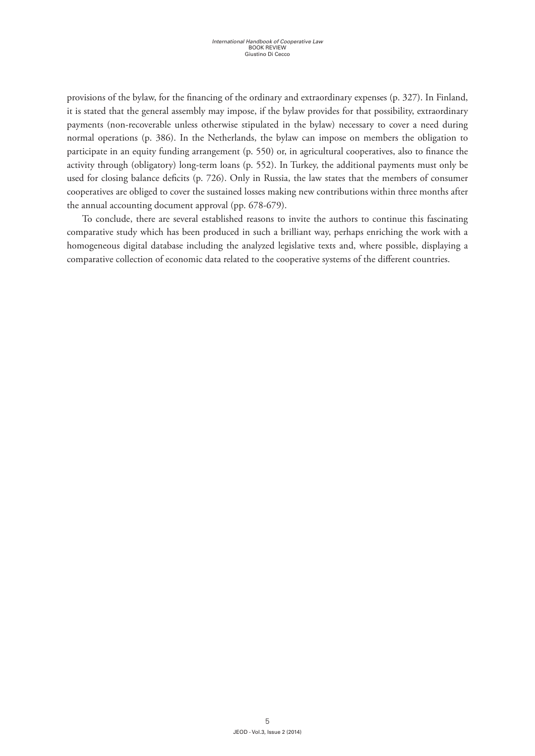provisions of the bylaw, for the financing of the ordinary and extraordinary expenses (p. 327). In Finland, it is stated that the general assembly may impose, if the bylaw provides for that possibility, extraordinary payments (non-recoverable unless otherwise stipulated in the bylaw) necessary to cover a need during normal operations (p. 386). In the Netherlands, the bylaw can impose on members the obligation to participate in an equity funding arrangement (p. 550) or, in agricultural cooperatives, also to finance the activity through (obligatory) long-term loans (p. 552). In Turkey, the additional payments must only be used for closing balance deficits (p. 726). Only in Russia, the law states that the members of consumer cooperatives are obliged to cover the sustained losses making new contributions within three months after the annual accounting document approval (pp. 678-679).

To conclude, there are several established reasons to invite the authors to continue this fascinating comparative study which has been produced in such a brilliant way, perhaps enriching the work with a homogeneous digital database including the analyzed legislative texts and, where possible, displaying a comparative collection of economic data related to the cooperative systems of the different countries.